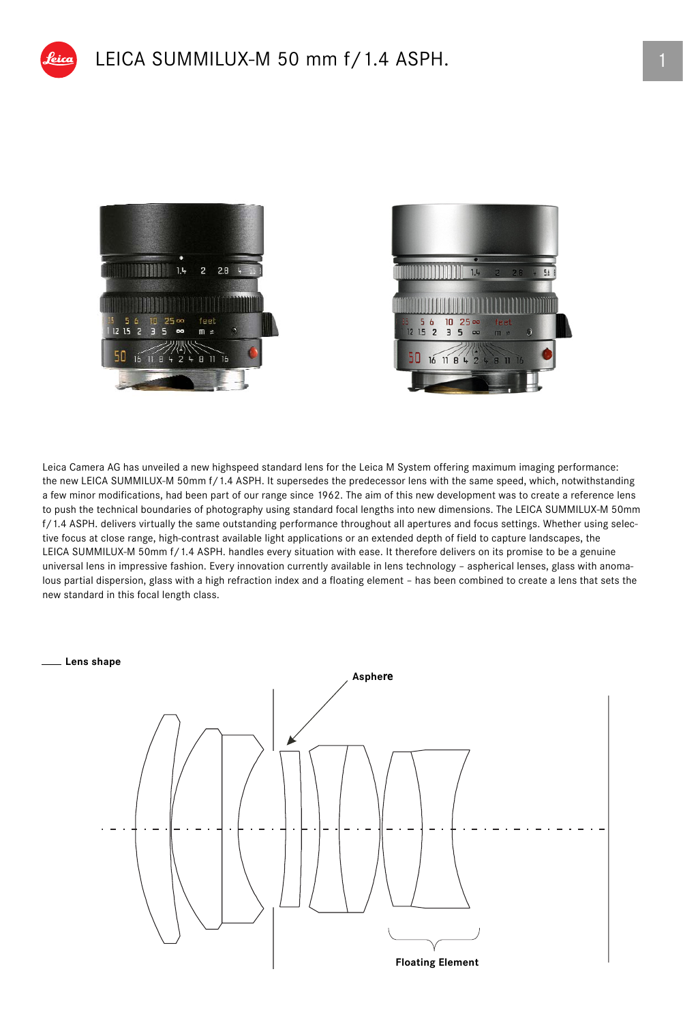





Leica Camera AG has unveiled a new highspeed standard lens for the Leica M System offering maximum imaging performance: the new LEICA SUMMILUX-M 50mm f/1.4 ASPH. It supersedes the predecessor lens with the same speed, which, notwithstanding a few minor modifications, had been part of our range since 1962. The aim of this new development was to create a reference lens to push the technical boundaries of photography using standard focal lengths into new dimensions. The LEICA SUMMILUX-M 50mm f/1.4 ASPH. delivers virtually the same outstanding performance throughout all apertures and focus settings. Whether using selective focus at close range, high-contrast available light applications or an extended depth of field to capture landscapes, the LEICA SUMMILUX-M 50mm f/1.4 ASPH. handles every situation with ease. It therefore delivers on its promise to be a genuine universal lens in impressive fashion. Every innovation currently available in lens technology – aspherical lenses, glass with anomalous partial dispersion, glass with a high refraction index and a floating element – has been combined to create a lens that sets the new standard in this focal length class.

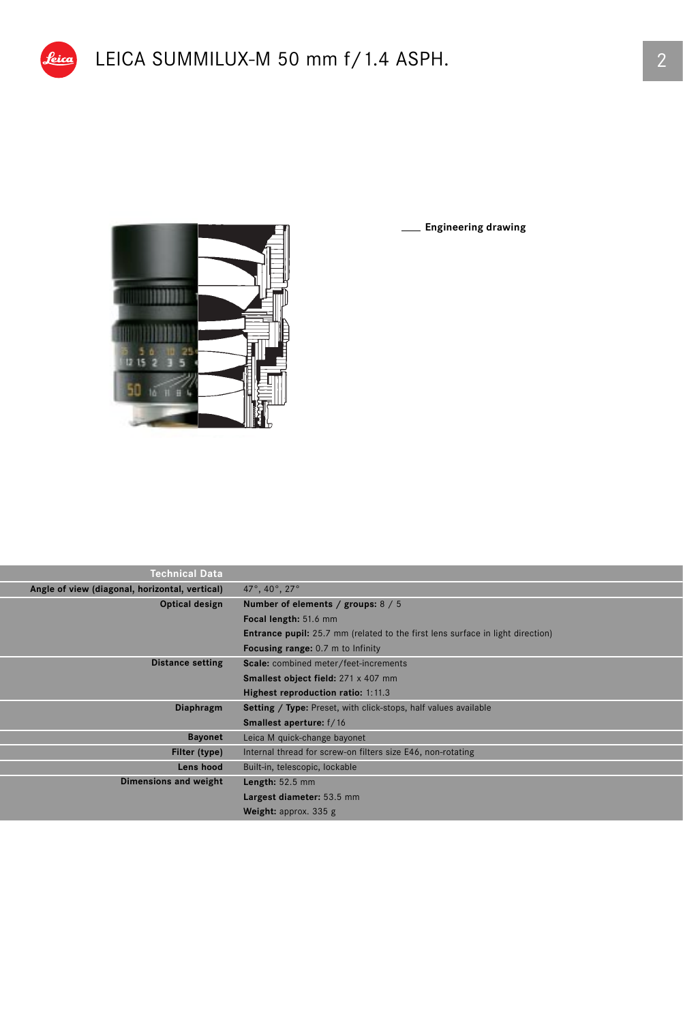



**Engineering drawing**

| <b>Technical Data</b>                          |                                                                                       |
|------------------------------------------------|---------------------------------------------------------------------------------------|
| Angle of view (diagonal, horizontal, vertical) | 47°, 40°, 27°                                                                         |
| Optical design                                 | Number of elements / groups: 8 / 5                                                    |
|                                                | Focal length: 51.6 mm                                                                 |
|                                                | <b>Entrance pupil:</b> 25.7 mm (related to the first lens surface in light direction) |
|                                                | <b>Focusing range:</b> 0.7 m to Infinity                                              |
| <b>Distance setting</b>                        | Scale: combined meter/feet-increments                                                 |
|                                                | <b>Smallest object field:</b> 271 x 407 mm                                            |
|                                                | Highest reproduction ratio: 1:11.3                                                    |
| Diaphragm                                      | <b>Setting / Type:</b> Preset, with click-stops, half values available                |
|                                                | <b>Smallest aperture:</b> f/16                                                        |
| <b>Bayonet</b>                                 | Leica M quick-change bayonet                                                          |
| Filter (type)                                  | Internal thread for screw-on filters size E46, non-rotating                           |
| Lens hood                                      | Built-in, telescopic, lockable                                                        |
| Dimensions and weight                          | Length: $52.5$ mm                                                                     |
|                                                | Largest diameter: 53.5 mm                                                             |
|                                                | <b>Weight:</b> approx. $335$ g                                                        |
|                                                |                                                                                       |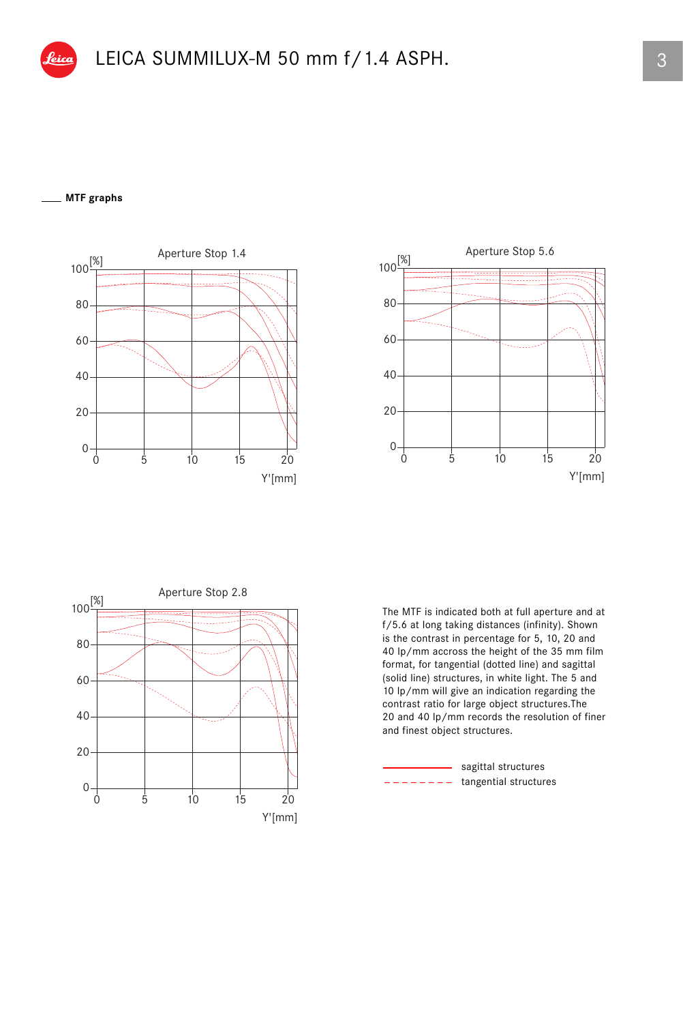## **MTF graphs**







The MTF is indicated both at full aperture and at f/5.6 at long taking distances (infinity). Shown is the contrast in percentage for 5, 10, 20 and 40 lp/mm accross the height of the 35 mm film format, for tangential (dotted line) and sagittal (solid line) structures, in white light. The 5 and 10 lp/mm will give an indication regarding the contrast ratio for large object structures.The 20 and 40 lp/mm records the resolution of finer and finest object structures.

tangential structures sagittal structures \_ \_ \_ \_ \_ \_ \_ \_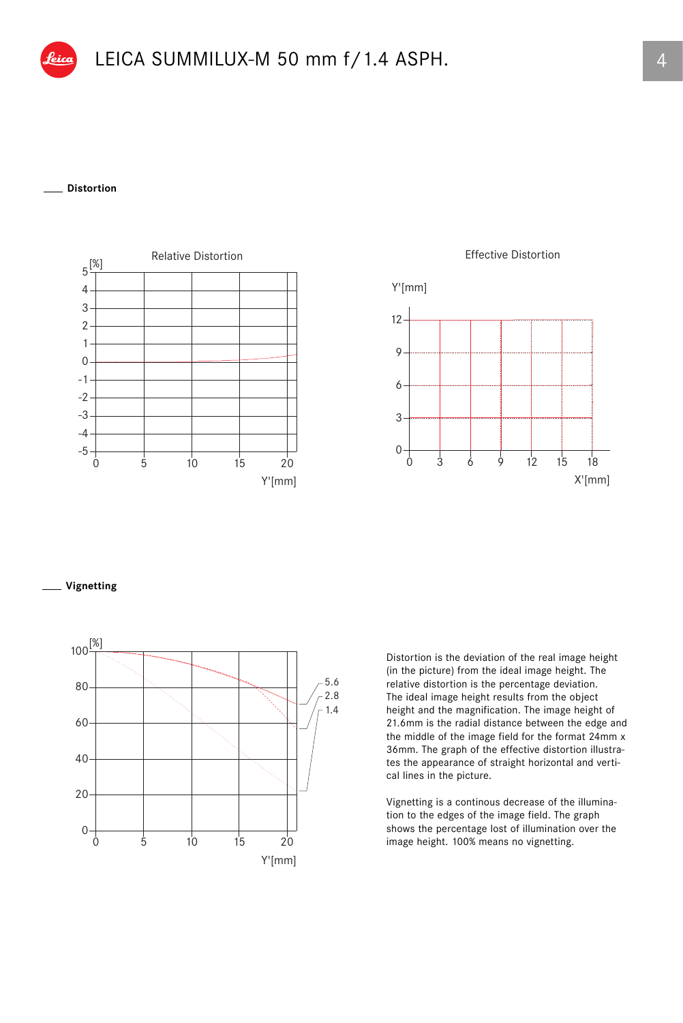

## **Distortion**





**Vignetting**



Distortion is the deviation of the real image height (in the picture) from the ideal image height. The relative distortion is the percentage deviation. The ideal image height results from the object height and the magnification. The image height of 21.6mm is the radial distance between the edge and the middle of the image field for the format 24mm x 36mm. The graph of the effective distortion illustrates the appearance of straight horizontal and vertical lines in the picture.

Vignetting is a continous decrease of the illumination to the edges of the image field. The graph shows the percentage lost of illumination over the image height. 100% means no vignetting.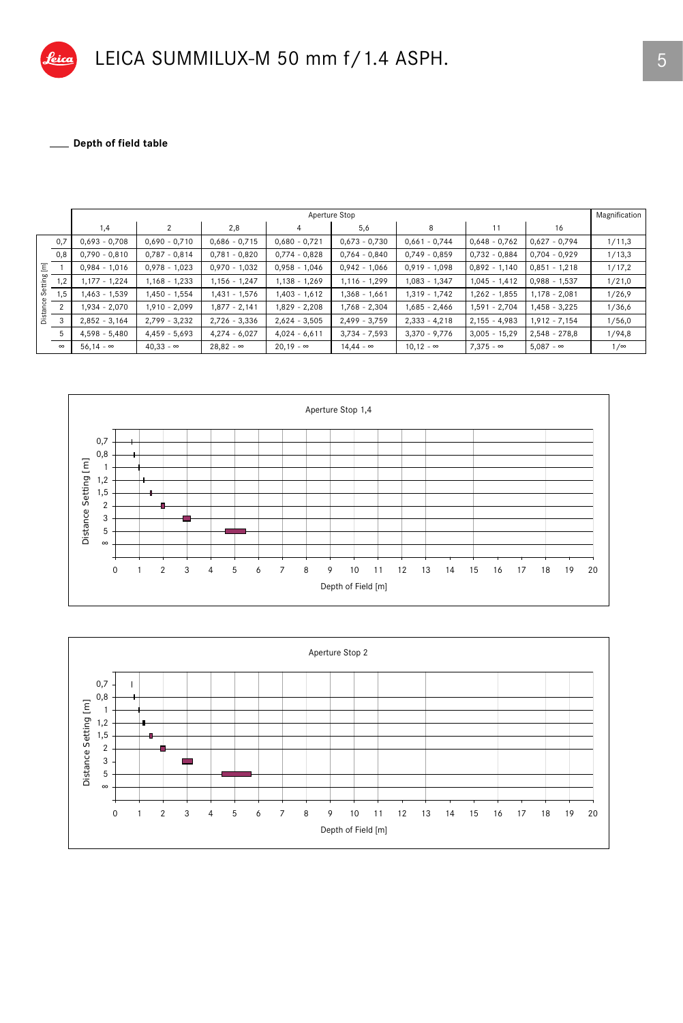

\_ Depth of field table 

|         |          | Aperture Stop    |                  |                  |                  |                  |                  |                  |                  |            |
|---------|----------|------------------|------------------|------------------|------------------|------------------|------------------|------------------|------------------|------------|
|         |          | 1,4              | $\mathfrak{p}$   | 2,8              | 4                | 5,6              | 8                | 11               | 16               |            |
|         | 0,7      | $0,693 - 0,708$  | $0,690 - 0,710$  | $0,686 - 0,715$  | $0,680 - 0,721$  | $0,673 - 0,730$  | $0,661 - 0,744$  | $0,648 - 0,762$  | $0,627 - 0,794$  | 1/11,3     |
|         | 0,8      | $0,790 - 0,810$  | $0,787 - 0,814$  | $0,781 - 0,820$  | $0,774 - 0,828$  | $0,764 - 0,840$  | $0,749 - 0,859$  | $0,732 - 0,884$  | $0.704 - 0.929$  | 1/13,3     |
| Ξ       |          | $0.984 - 1.016$  | $0,978 - 1,023$  | $0,970 - 1,032$  | $0,958 - 1,046$  | $0,942 - 1,066$  | $0.919 - 1.098$  | $0,892 - 1,140$  | $0,851 - 1,218$  | 1/17,2     |
| Setting | 1,2      | 1,177 - 1,224    | 1,168 - 1,233    | $1,156 - 1,247$  | 1,138 - 1,269    | $1,116 - 1,299$  | $1,083 - 1,347$  | $1,045 - 1,412$  | $0,988 - 1,537$  | 1/21,0     |
|         | 1,5      | 1,463 - 1,539    | 1,450 - 1,554    | 1,431 - 1,576    | 1,403 - 1,612    | 1,368 - 1,661    | $1,319 - 1,742$  | $1,262 - 1,855$  | $1,178 - 2,081$  | 1/26,9     |
| .<br>Ea | $\Omega$ | 1,934 - 2,070    | 1,910 - 2,099    | 1,877 - 2,141    | 1,829 - 2,208    | 1,768 - 2,304    | 1,685 - 2,466    | 1,591 - 2,704    | $1,458 - 3,225$  | 1/36,6     |
| å       | 3        | $2,852 - 3,164$  | 2,799 - 3,232    | $2,726 - 3,336$  | $2,624 - 3,505$  | $2,499 - 3,759$  | $2,333 - 4,218$  | $2,155 - 4,983$  | $1,912 - 7,154$  | 1/56,0     |
|         | 5        | $4,598 - 5,480$  | $4,459 - 5,693$  | $4,274 - 6,027$  | $4,024 - 6,611$  | $3,734 - 7,593$  | $3,370 - 9,776$  | $3,005 - 15,29$  | $2,548 - 278,8$  | 1/94,8     |
|         | $\infty$ | $56.14 - \infty$ | $40.33 - \infty$ | $28.82 - \infty$ | $20.19 - \infty$ | $14.44 - \infty$ | $10.12 - \infty$ | $7.375 - \infty$ | $5.087 - \infty$ | $1/\infty$ |



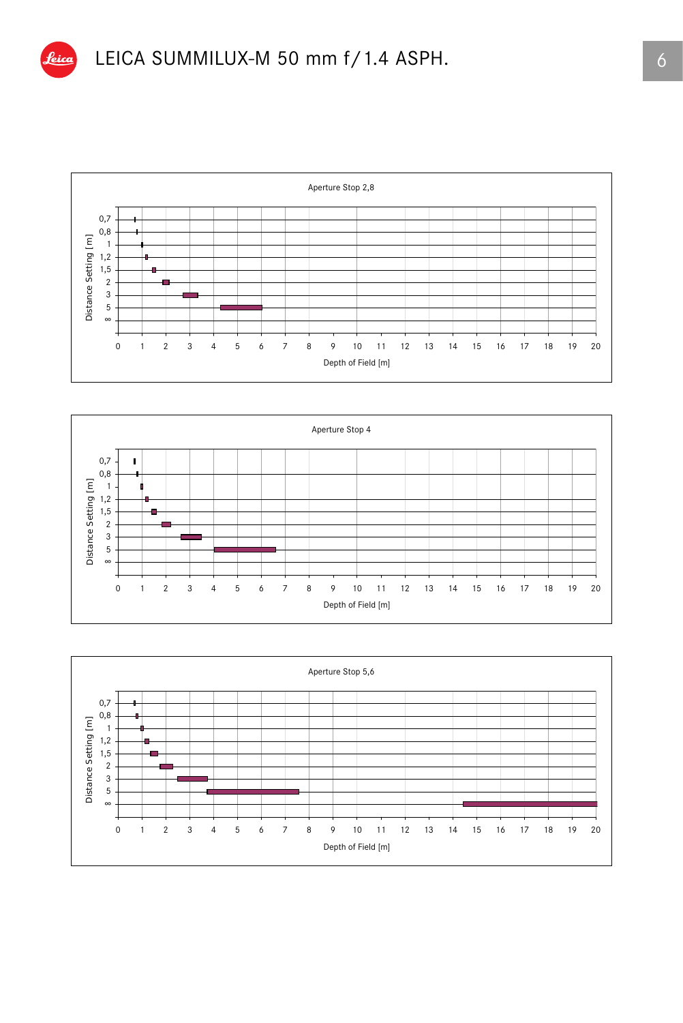